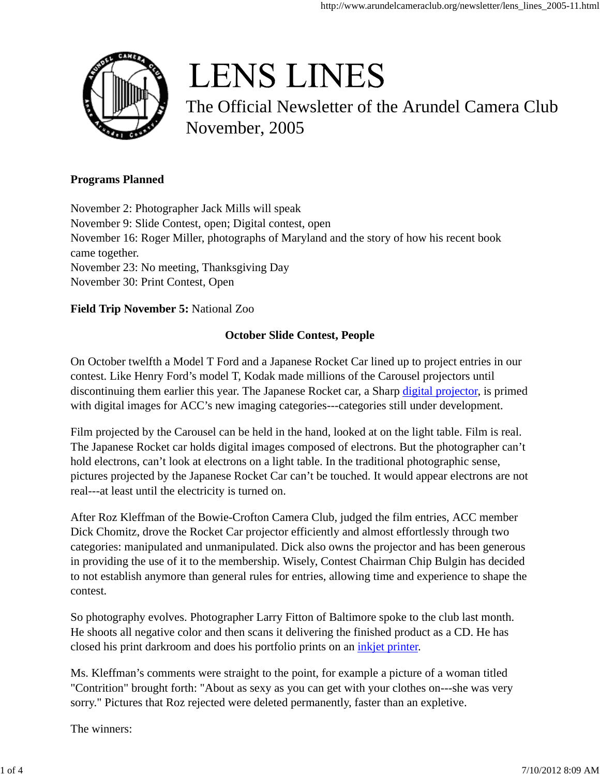

# **LENS LINES**

The Official Newsletter of the Arundel Camera Club November, 2005

#### **Programs Planned**

November 2: Photographer Jack Mills will speak November 9: Slide Contest, open; Digital contest, open November 16: Roger Miller, photographs of Maryland and the story of how his recent book came together. November 23: No meeting, Thanksgiving Day November 30: Print Contest, Open

### **Field Trip November 5:** National Zoo

## **October Slide Contest, People**

On October twelfth a Model T Ford and a Japanese Rocket Car lined up to project entries in our contest. Like Henry Ford's model T, Kodak made millions of the Carousel projectors until discontinuing them earlier this year. The Japanese Rocket car, a Sharp digital projector, is primed with digital images for ACC's new imaging categories---categories still under development.

Film projected by the Carousel can be held in the hand, looked at on the light table. Film is real. The Japanese Rocket car holds digital images composed of electrons. But the photographer can't hold electrons, can't look at electrons on a light table. In the traditional photographic sense, pictures projected by the Japanese Rocket Car can't be touched. It would appear electrons are not real---at least until the electricity is turned on.

After Roz Kleffman of the Bowie-Crofton Camera Club, judged the film entries, ACC member Dick Chomitz, drove the Rocket Car projector efficiently and almost effortlessly through two categories: manipulated and unmanipulated. Dick also owns the projector and has been generous in providing the use of it to the membership. Wisely, Contest Chairman Chip Bulgin has decided to not establish anymore than general rules for entries, allowing time and experience to shape the contest.

So photography evolves. Photographer Larry Fitton of Baltimore spoke to the club last month. He shoots all negative color and then scans it delivering the finished product as a CD. He has closed his print darkroom and does his portfolio prints on an inkjet printer.

Ms. Kleffman's comments were straight to the point, for example a picture of a woman titled "Contrition" brought forth: "About as sexy as you can get with your clothes on---she was very sorry." Pictures that Roz rejected were deleted permanently, faster than an expletive.

The winners: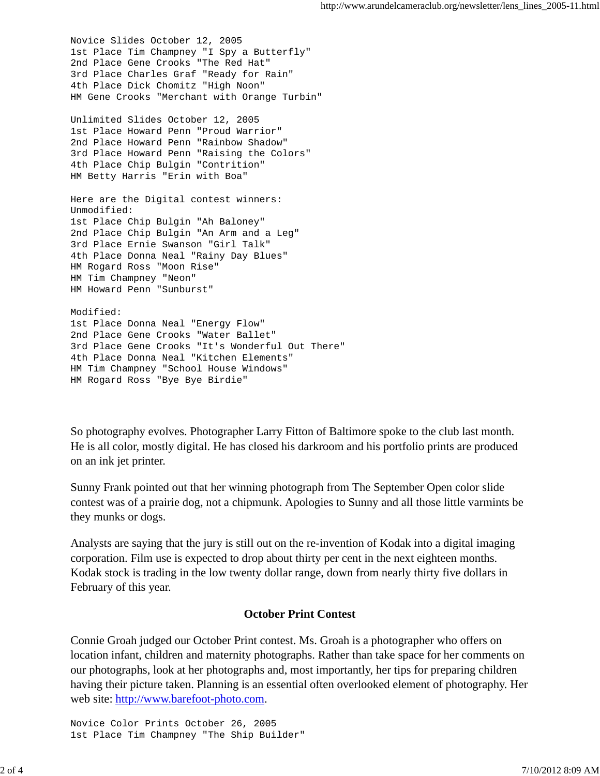Novice Slides October 12, 2005 1st Place Tim Champney "I Spy a Butterfly" 2nd Place Gene Crooks "The Red Hat" 3rd Place Charles Graf "Ready for Rain" 4th Place Dick Chomitz "High Noon" HM Gene Crooks "Merchant with Orange Turbin" Unlimited Slides October 12, 2005 1st Place Howard Penn "Proud Warrior" 2nd Place Howard Penn "Rainbow Shadow" 3rd Place Howard Penn "Raising the Colors" 4th Place Chip Bulgin "Contrition" HM Betty Harris "Erin with Boa" Here are the Digital contest winners: Unmodified: 1st Place Chip Bulgin "Ah Baloney" 2nd Place Chip Bulgin "An Arm and a Leg" 3rd Place Ernie Swanson "Girl Talk" 4th Place Donna Neal "Rainy Day Blues" HM Rogard Ross "Moon Rise" HM Tim Champney "Neon" HM Howard Penn "Sunburst" Modified: 1st Place Donna Neal "Energy Flow" 2nd Place Gene Crooks "Water Ballet" 3rd Place Gene Crooks "It's Wonderful Out There" 4th Place Donna Neal "Kitchen Elements" HM Tim Champney "School House Windows" HM Rogard Ross "Bye Bye Birdie"

So photography evolves. Photographer Larry Fitton of Baltimore spoke to the club last month. He is all color, mostly digital. He has closed his darkroom and his portfolio prints are produced on an ink jet printer.

Sunny Frank pointed out that her winning photograph from The September Open color slide contest was of a prairie dog, not a chipmunk. Apologies to Sunny and all those little varmints be they munks or dogs.

Analysts are saying that the jury is still out on the re-invention of Kodak into a digital imaging corporation. Film use is expected to drop about thirty per cent in the next eighteen months. Kodak stock is trading in the low twenty dollar range, down from nearly thirty five dollars in February of this year.

#### **October Print Contest**

Connie Groah judged our October Print contest. Ms. Groah is a photographer who offers on location infant, children and maternity photographs. Rather than take space for her comments on our photographs, look at her photographs and, most importantly, her tips for preparing children having their picture taken. Planning is an essential often overlooked element of photography. Her web site: http://www.barefoot-photo.com.

Novice Color Prints October 26, 2005 1st Place Tim Champney "The Ship Builder"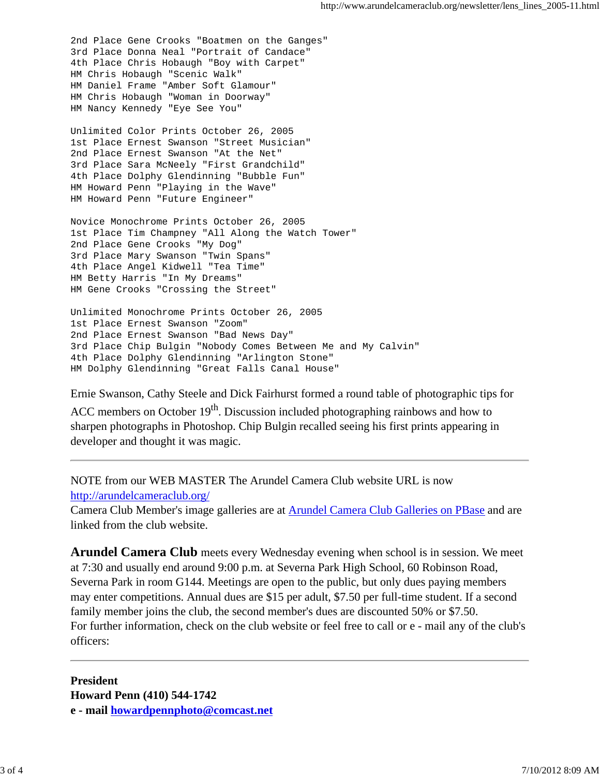2nd Place Gene Crooks "Boatmen on the Ganges" 3rd Place Donna Neal "Portrait of Candace" 4th Place Chris Hobaugh "Boy with Carpet" HM Chris Hobaugh "Scenic Walk" HM Daniel Frame "Amber Soft Glamour" HM Chris Hobaugh "Woman in Doorway" HM Nancy Kennedy "Eye See You"

Unlimited Color Prints October 26, 2005 1st Place Ernest Swanson "Street Musician" 2nd Place Ernest Swanson "At the Net" 3rd Place Sara McNeely "First Grandchild" 4th Place Dolphy Glendinning "Bubble Fun" HM Howard Penn "Playing in the Wave" HM Howard Penn "Future Engineer"

Novice Monochrome Prints October 26, 2005 1st Place Tim Champney "All Along the Watch Tower" 2nd Place Gene Crooks "My Dog" 3rd Place Mary Swanson "Twin Spans" 4th Place Angel Kidwell "Tea Time" HM Betty Harris "In My Dreams" HM Gene Crooks "Crossing the Street"

Unlimited Monochrome Prints October 26, 2005 1st Place Ernest Swanson "Zoom" 2nd Place Ernest Swanson "Bad News Day" 3rd Place Chip Bulgin "Nobody Comes Between Me and My Calvin" 4th Place Dolphy Glendinning "Arlington Stone" HM Dolphy Glendinning "Great Falls Canal House"

Ernie Swanson, Cathy Steele and Dick Fairhurst formed a round table of photographic tips for

ACC members on October  $19<sup>th</sup>$ . Discussion included photographing rainbows and how to sharpen photographs in Photoshop. Chip Bulgin recalled seeing his first prints appearing in developer and thought it was magic.

NOTE from our WEB MASTER The Arundel Camera Club website URL is now http://arundelcameraclub.org/

Camera Club Member's image galleries are at Arundel Camera Club Galleries on PBase and are linked from the club website.

**Arundel Camera Club** meets every Wednesday evening when school is in session. We meet at 7:30 and usually end around 9:00 p.m. at Severna Park High School, 60 Robinson Road, Severna Park in room G144. Meetings are open to the public, but only dues paying members may enter competitions. Annual dues are \$15 per adult, \$7.50 per full-time student. If a second family member joins the club, the second member's dues are discounted 50% or \$7.50. For further information, check on the club website or feel free to call or e - mail any of the club's officers:

**President Howard Penn (410) 544-1742 e - mail howardpennphoto@comcast.net**